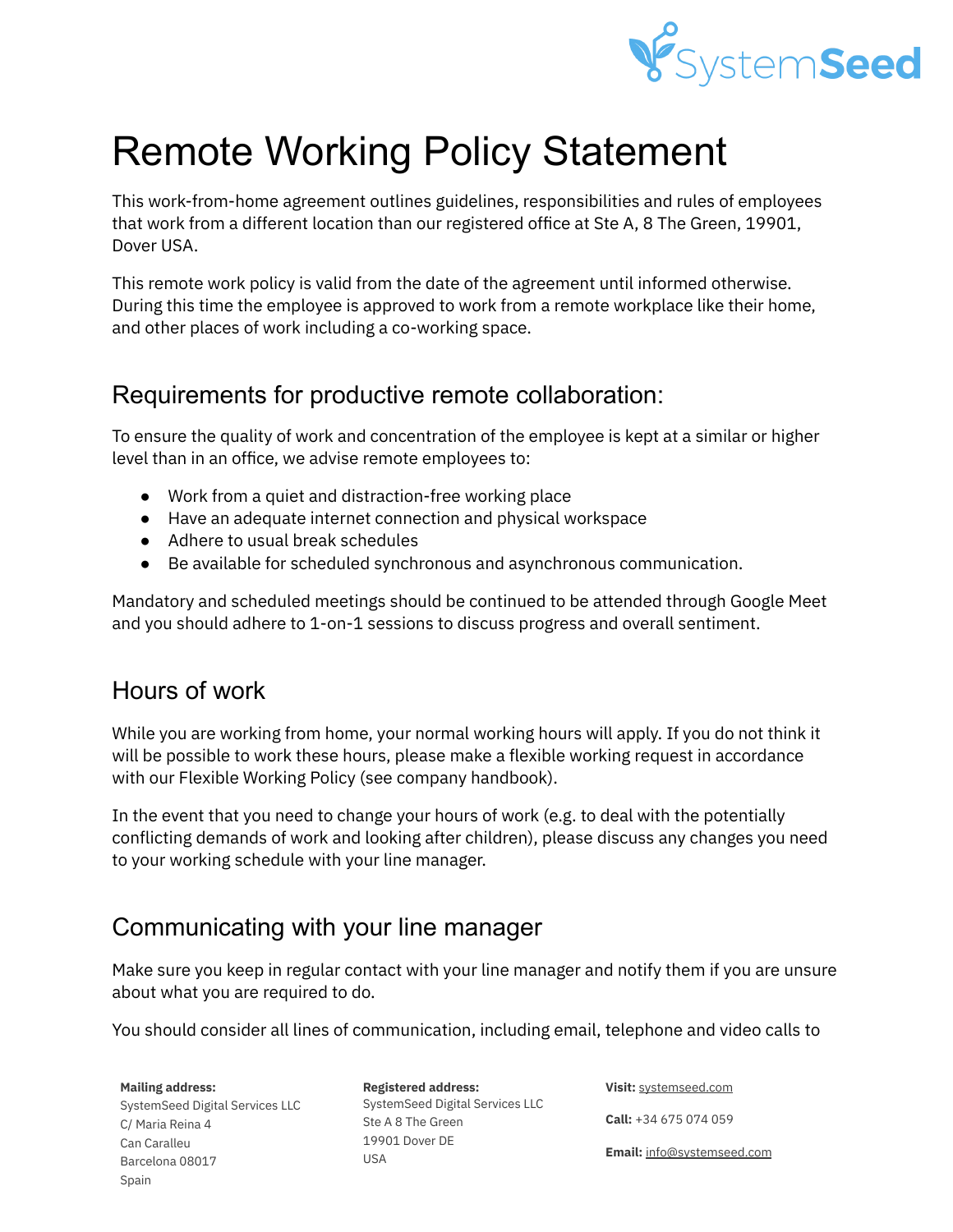

# Remote Working Policy Statement

This work-from-home agreement outlines guidelines, responsibilities and rules of employees that work from a different location than our registered office at Ste A, 8 The Green, 19901, Dover USA.

This remote work policy is valid from the date of the agreement until informed otherwise. During this time the employee is approved to work from a remote workplace like their home, and other places of work including a co-working space.

### Requirements for productive remote collaboration:

To ensure the quality of work and concentration of the employee is kept at a similar or higher level than in an office, we advise remote employees to:

- Work from a quiet and distraction-free working place
- Have an adequate internet connection and physical workspace
- Adhere to usual break schedules
- Be available for scheduled synchronous and asynchronous communication.

Mandatory and scheduled meetings should be continued to be attended through Google Meet and you should adhere to 1-on-1 sessions to discuss progress and overall sentiment.

# Hours of work

While you are working from home, your normal working hours will apply. If you do not think it will be possible to work these hours, please make a flexible working request in accordance with our Flexible Working Policy (see company handbook).

In the event that you need to change your hours of work (e.g. to deal with the potentially conflicting demands of work and looking after children), please discuss any changes you need to your working schedule with your line manager.

# Communicating with your line manager

Make sure you keep in regular contact with your line manager and notify them if you are unsure about what you are required to do.

You should consider all lines of communication, including email, telephone and video calls to

**Mailing address:** SystemSeed Digital Services LLC C/ Maria Reina 4 Can Caralleu Barcelona 08017 Spain

**Registered address:** SystemSeed Digital Services LLC Ste A 8 The Green 19901 Dover DE USA

**Visit:** [systemseed.com](http://www.systemseed.com)

**Call:** +34 675 074 059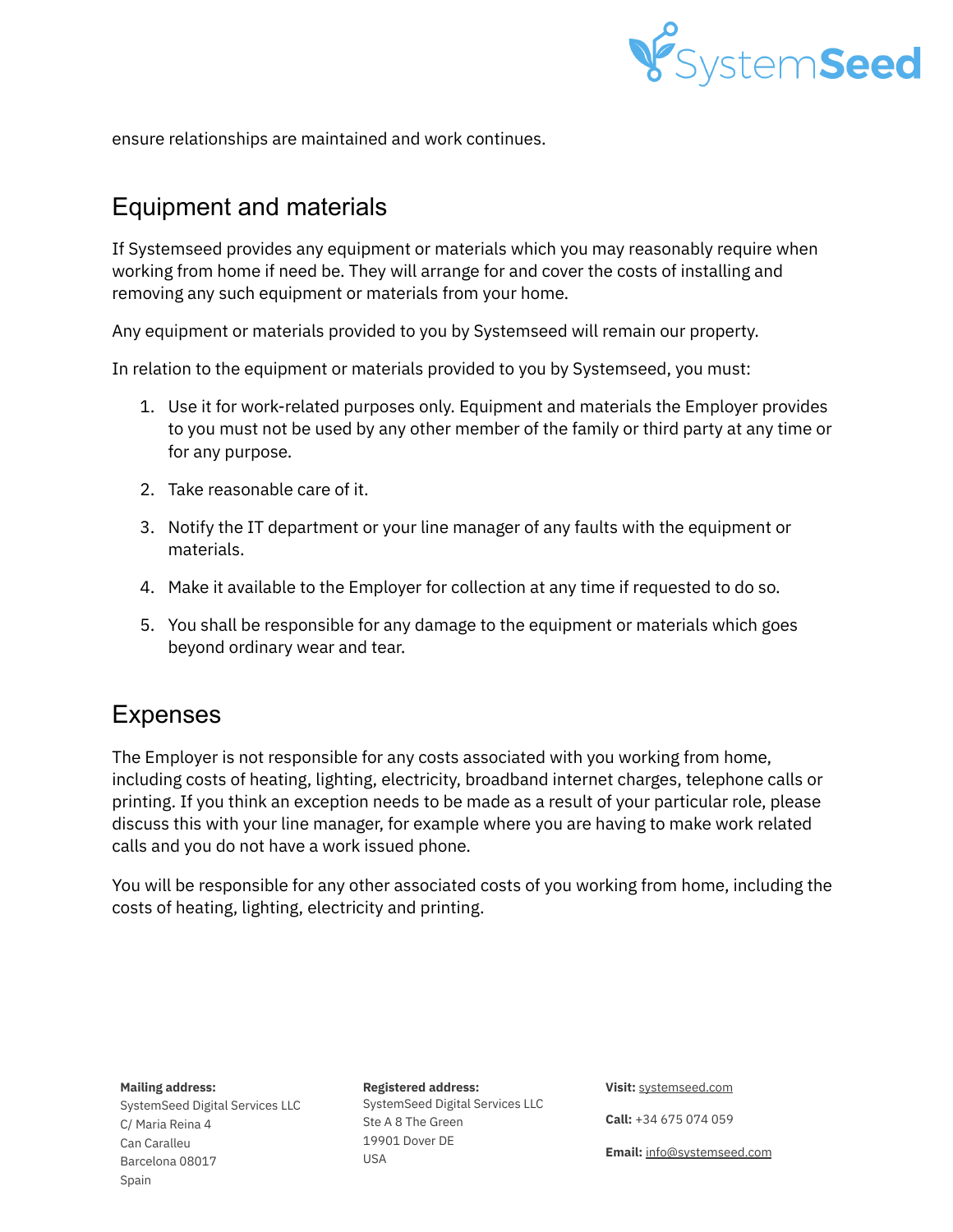

ensure relationships are maintained and work continues.

### Equipment and materials

If Systemseed provides any equipment or materials which you may reasonably require when working from home if need be. They will arrange for and cover the costs of installing and removing any such equipment or materials from your home.

Any equipment or materials provided to you by Systemseed will remain our property.

In relation to the equipment or materials provided to you by Systemseed, you must:

- 1. Use it for work-related purposes only. Equipment and materials the Employer provides to you must not be used by any other member of the family or third party at any time or for any purpose.
- 2. Take reasonable care of it.
- 3. Notify the IT department or your line manager of any faults with the equipment or materials.
- 4. Make it available to the Employer for collection at any time if requested to do so.
- 5. You shall be responsible for any damage to the equipment or materials which goes beyond ordinary wear and tear.

### Expenses

The Employer is not responsible for any costs associated with you working from home, including costs of heating, lighting, electricity, broadband internet charges, telephone calls or printing. If you think an exception needs to be made as a result of your particular role, please discuss this with your line manager, for example where you are having to make work related calls and you do not have a work issued phone.

You will be responsible for any other associated costs of you working from home, including the costs of heating, lighting, electricity and printing.

**Mailing address:**

SystemSeed Digital Services LLC C/ Maria Reina 4 Can Caralleu Barcelona 08017 Spain

**Registered address:** SystemSeed Digital Services LLC Ste A 8 The Green 19901 Dover DE USA

**Visit:** [systemseed.com](http://www.systemseed.com)

**Call:** +34 675 074 059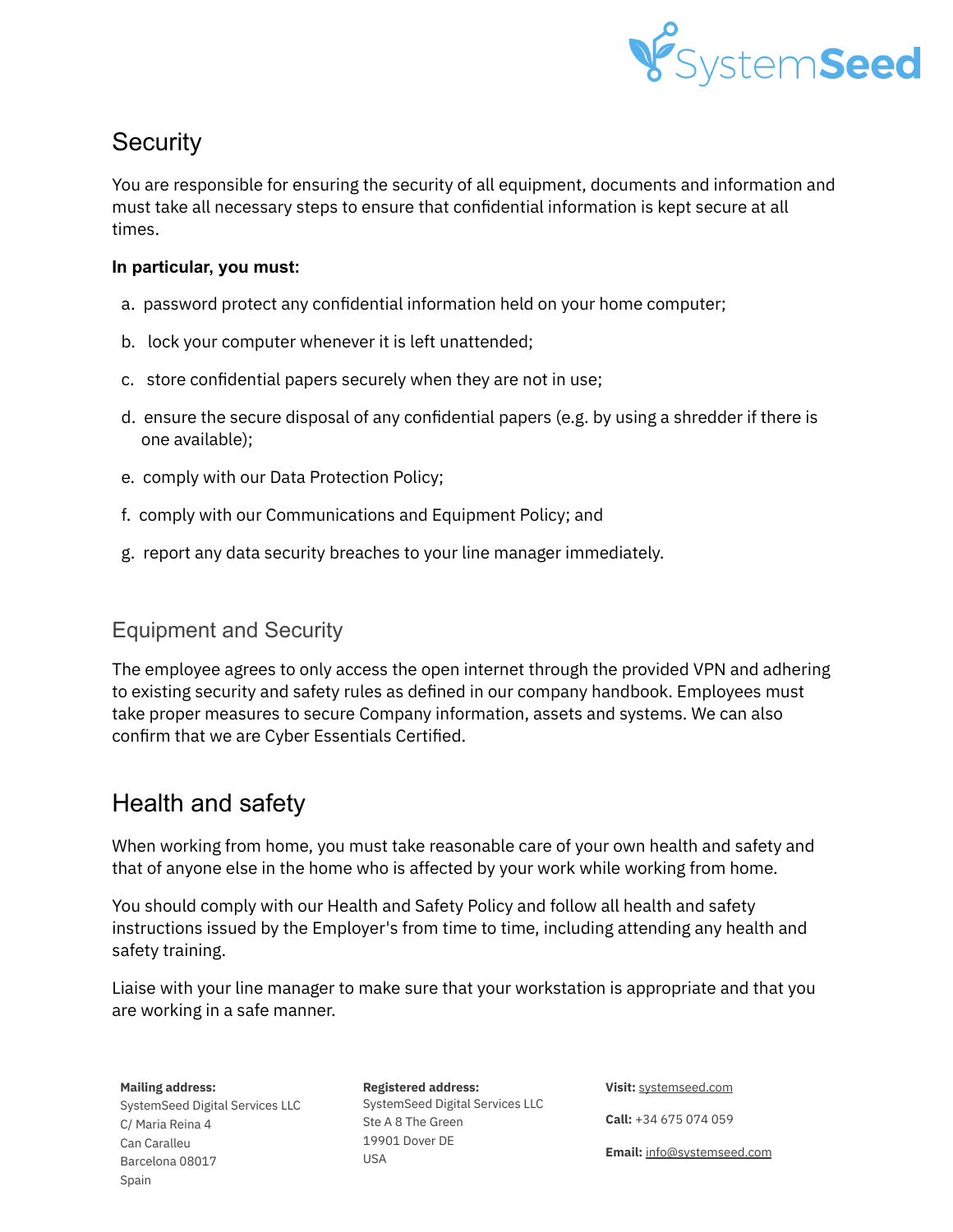

## **Security**

You are responsible for ensuring the security of all equipment, documents and information and must take all necessary steps to ensure that confidential information is kept secure at all times.

#### **In particular, you must:**

- a. password protect any confidential information held on your home computer;
- b. lock your computer whenever it is left unattended;
- c. store confidential papers securely when they are not in use;
- d. ensure the secure disposal of any confidential papers (e.g. by using a shredder if there is one available);
- e. comply with our Data Protection Policy;
- f. comply with our Communications and Equipment Policy; and
- g. report any data security breaches to your line manager immediately.

### Equipment and Security

The employee agrees to only access the open internet through the provided VPN and adhering to existing security and safety rules as defined in our company handbook. Employees must take proper measures to secure Company information, assets and systems. We can also confirm that we are Cyber Essentials Certified.

### Health and safety

When working from home, you must take reasonable care of your own health and safety and that of anyone else in the home who is affected by your work while working from home.

You should comply with our Health and Safety Policy and follow all health and safety instructions issued by the Employer's from time to time, including attending any health and safety training.

Liaise with your line manager to make sure that your workstation is appropriate and that you are working in a safe manner.

**Mailing address:**

SystemSeed Digital Services LLC C/ Maria Reina 4 Can Caralleu Barcelona 08017 Spain

**Registered address:** SystemSeed Digital Services LLC Ste A 8 The Green 19901 Dover DE USA

**Visit:** [systemseed.com](http://www.systemseed.com)

**Call:** +34 675 074 059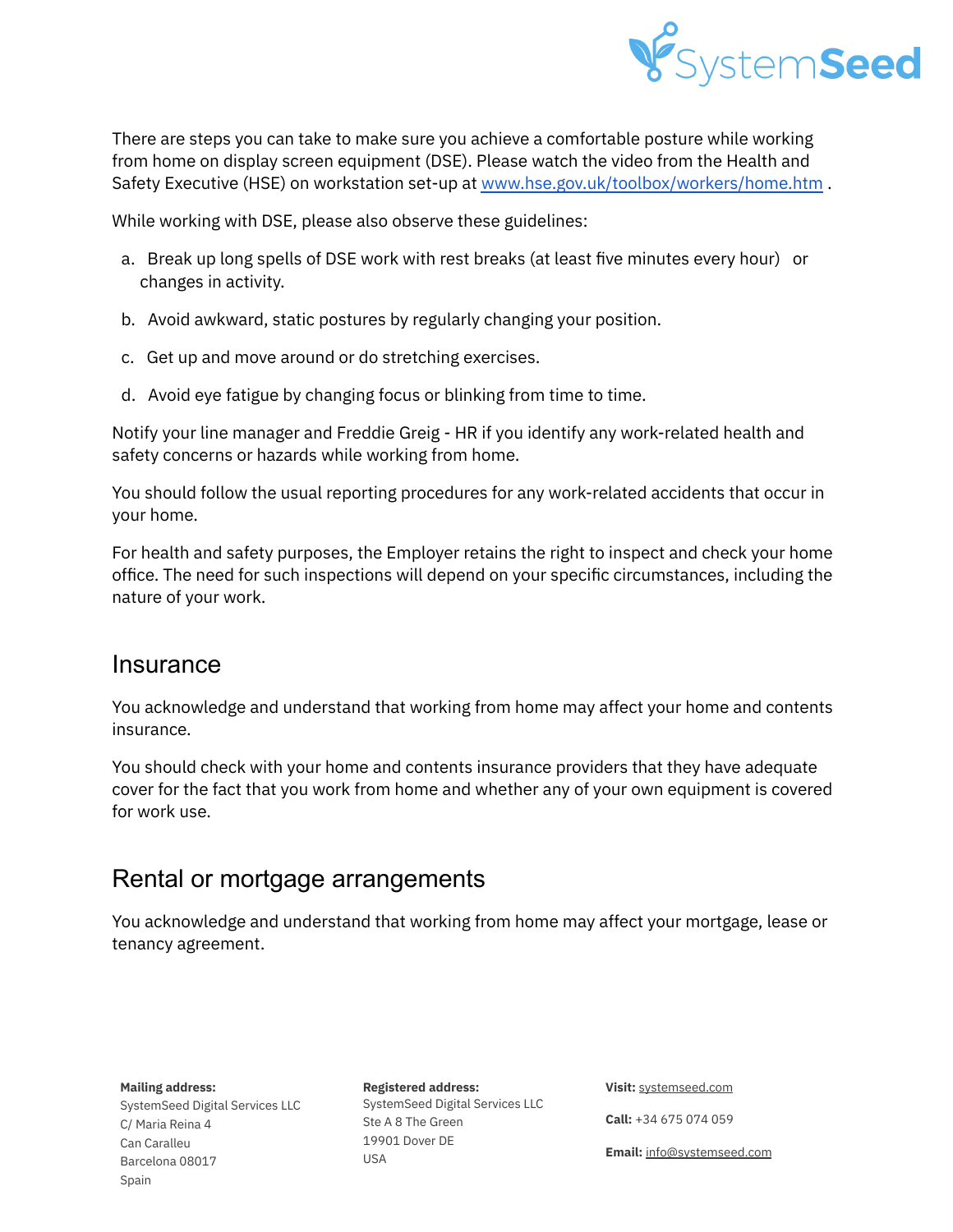

There are steps you can take to make sure you achieve a comfortable posture while working from home on display screen equipment (DSE). Please watch the video from the Health and Safety Executive (HSE) on workstation set-up at [www.hse.gov.uk/toolbox/workers/home.htm](http://www.hse.gov.uk/toolbox/workers/home.htm) .

While working with DSE, please also observe these guidelines:

- a. Break up long spells of DSE work with rest breaks (at least five minutes every hour) or changes in activity.
- b. Avoid awkward, static postures by regularly changing your position.
- c. Get up and move around or do stretching exercises.
- d. Avoid eye fatigue by changing focus or blinking from time to time.

Notify your line manager and Freddie Greig - HR if you identify any work-related health and safety concerns or hazards while working from home.

You should follow the usual reporting procedures for any work-related accidents that occur in your home.

For health and safety purposes, the Employer retains the right to inspect and check your home office. The need for such inspections will depend on your specific circumstances, including the nature of your work.

### **Insurance**

You acknowledge and understand that working from home may affect your home and contents insurance.

You should check with your home and contents insurance providers that they have adequate cover for the fact that you work from home and whether any of your own equipment is covered for work use.

### Rental or mortgage arrangements

You acknowledge and understand that working from home may affect your mortgage, lease or tenancy agreement.

**Mailing address:**

SystemSeed Digital Services LLC C/ Maria Reina 4 Can Caralleu Barcelona 08017 Spain

**Registered address:** SystemSeed Digital Services LLC Ste A 8 The Green 19901 Dover DE USA

**Visit:** [systemseed.com](http://www.systemseed.com)

**Call:** +34 675 074 059